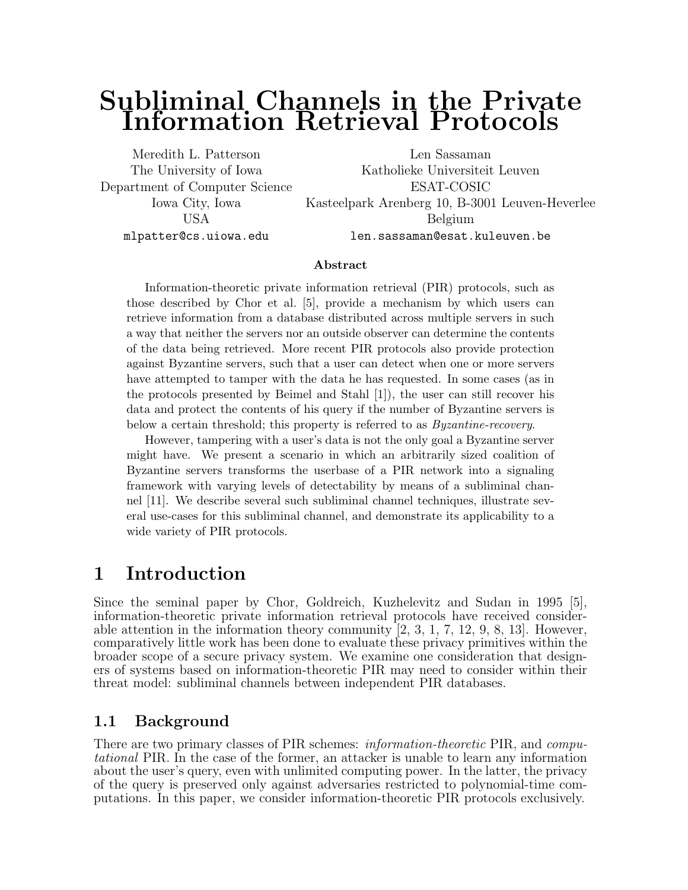# Subliminal Channels in the Private Information Retrieval Protocols

Department of Computer Science ESAT-COSIC

Meredith L. Patterson Len Sassaman The University of Iowa Katholieke Universiteit Leuven Iowa City, Iowa Kasteelpark Arenberg 10, B-3001 Leuven-Heverlee USA Belgium mlpatter@cs.uiowa.edu len.sassaman@esat.kuleuven.be

#### Abstract

Information-theoretic private information retrieval (PIR) protocols, such as those described by Chor et al. [5], provide a mechanism by which users can retrieve information from a database distributed across multiple servers in such a way that neither the servers nor an outside observer can determine the contents of the data being retrieved. More recent PIR protocols also provide protection against Byzantine servers, such that a user can detect when one or more servers have attempted to tamper with the data he has requested. In some cases (as in the protocols presented by Beimel and Stahl [1]), the user can still recover his data and protect the contents of his query if the number of Byzantine servers is below a certain threshold; this property is referred to as Byzantine-recovery.

However, tampering with a user's data is not the only goal a Byzantine server might have. We present a scenario in which an arbitrarily sized coalition of Byzantine servers transforms the userbase of a PIR network into a signaling framework with varying levels of detectability by means of a subliminal channel [11]. We describe several such subliminal channel techniques, illustrate several use-cases for this subliminal channel, and demonstrate its applicability to a wide variety of PIR protocols.

## 1 Introduction

Since the seminal paper by Chor, Goldreich, Kuzhelevitz and Sudan in 1995 [5], information-theoretic private information retrieval protocols have received considerable attention in the information theory community  $[2, 3, 1, 7, 12, 9, 8, 13]$ . However, comparatively little work has been done to evaluate these privacy primitives within the broader scope of a secure privacy system. We examine one consideration that designers of systems based on information-theoretic PIR may need to consider within their threat model: subliminal channels between independent PIR databases.

## 1.1 Background

There are two primary classes of PIR schemes: *information-theoretic* PIR, and *compu*tational PIR. In the case of the former, an attacker is unable to learn any information about the user's query, even with unlimited computing power. In the latter, the privacy of the query is preserved only against adversaries restricted to polynomial-time computations. In this paper, we consider information-theoretic PIR protocols exclusively.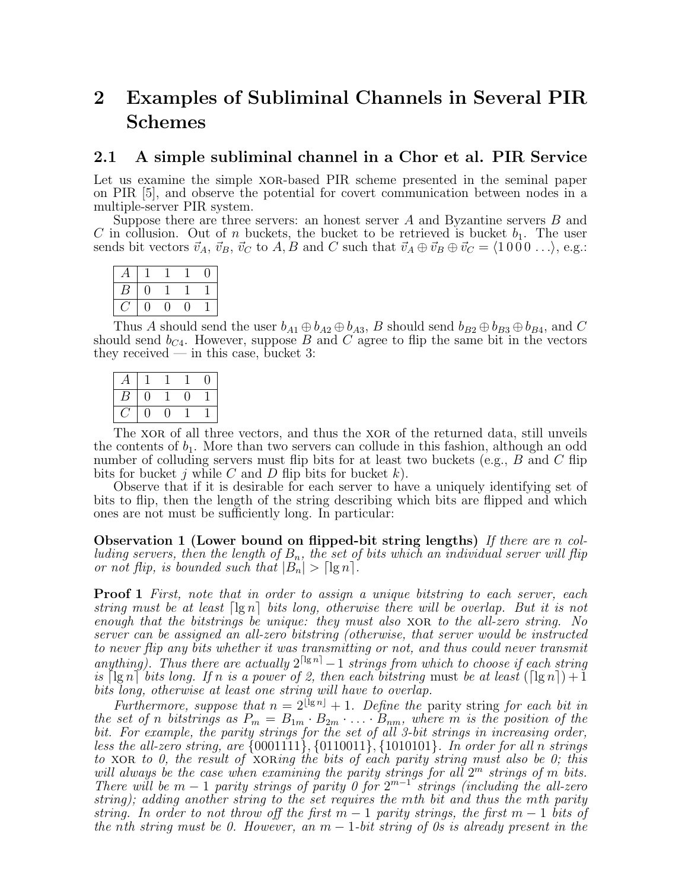# 2 Examples of Subliminal Channels in Several PIR Schemes

### 2.1 A simple subliminal channel in a Chor et al. PIR Service

Let us examine the simple xor-based PIR scheme presented in the seminal paper on PIR [5], and observe the potential for covert communication between nodes in a multiple-server PIR system.

Suppose there are three servers: an honest server A and Byzantine servers B and C in collusion. Out of n buckets, the bucket to be retrieved is bucket  $b_1$ . The user sends bit vectors  $\vec{v}_A$ ,  $\vec{v}_B$ ,  $\vec{v}_C$  to  $A, B$  and C such that  $\vec{v}_A \oplus \vec{v}_B \oplus \vec{v}_C = \langle 1000 \ldots \rangle$ , e.g.:

| д |     |    |  |
|---|-----|----|--|
| В | U   |    |  |
|   | I ) | IJ |  |

Thus A should send the user  $b_{A1} \oplus b_{A2} \oplus b_{A3}$ , B should send  $b_{B2} \oplus b_{B3} \oplus b_{B4}$ , and C should send  $b_{C4}$ . However, suppose B and C agree to flip the same bit in the vectors they received — in this case, bucket  $3$ :

| A |   |    |   | $\theta$ |
|---|---|----|---|----------|
| Β | 0 |    | U |          |
|   | 0 | ۱) |   |          |

The xor of all three vectors, and thus the xor of the returned data, still unveils the contents of  $b_1$ . More than two servers can collude in this fashion, although an odd number of colluding servers must flip bits for at least two buckets (e.g.,  $B$  and  $C$  flip bits for bucket j while C and D flip bits for bucket  $k$ ).

Observe that if it is desirable for each server to have a uniquely identifying set of bits to flip, then the length of the string describing which bits are flipped and which ones are not must be sufficiently long. In particular:

Observation 1 (Lower bound on flipped-bit string lengths) If there are n colluding servers, then the length of  $B_n$ , the set of bits which an individual server will flip or not flip, is bounded such that  $|B_n| > \lceil \lg n \rceil$ .

**Proof 1** First, note that in order to assign a unique bitstring to each server, each string must be at least  $\lvert \lg n \rvert$  bits long, otherwise there will be overlap. But it is not enough that the bitstrings be unique: they must also XOR to the all-zero string. No server can be assigned an all-zero bitstring (otherwise, that server would be instructed to never flip any bits whether it was transmitting or not, and thus could never transmit anything). Thus there are actually  $2^{\lceil \lg n \rceil} - 1$  strings from which to choose if each string is  $\lceil \lg n \rceil$  bits long. If n is a power of 2, then each bitstring must be at least  $(\lceil \lg n \rceil) + 1$ bits long, otherwise at least one string will have to overlap.

Furthermore, suppose that  $n = 2^{\lfloor \lg n \rfloor} + 1$ . Define the parity string for each bit in the set of n bitstrings as  $P_m = B_{1m} \cdot B_{2m} \cdot \ldots \cdot B_{nm}$ , where m is the position of the bit. For example, the parity strings for the set of all 3-bit strings in increasing order, less the all-zero string, are  $\{0001111\}$ ,  $\{0110011\}$ ,  $\{1010101\}$ . In order for all n strings to XOR to 0, the result of XORing the bits of each parity string must also be 0; this will always be the case when examining the parity strings for all  $2^m$  strings of m bits. There will be  $m-1$  parity strings of parity 0 for  $2^{m-1}$  strings (including the all-zero string); adding another string to the set requires the mth bit and thus the mth parity string. In order to not throw off the first  $m-1$  parity strings, the first  $m-1$  bits of the nth string must be 0. However, an  $m-1$ -bit string of 0s is already present in the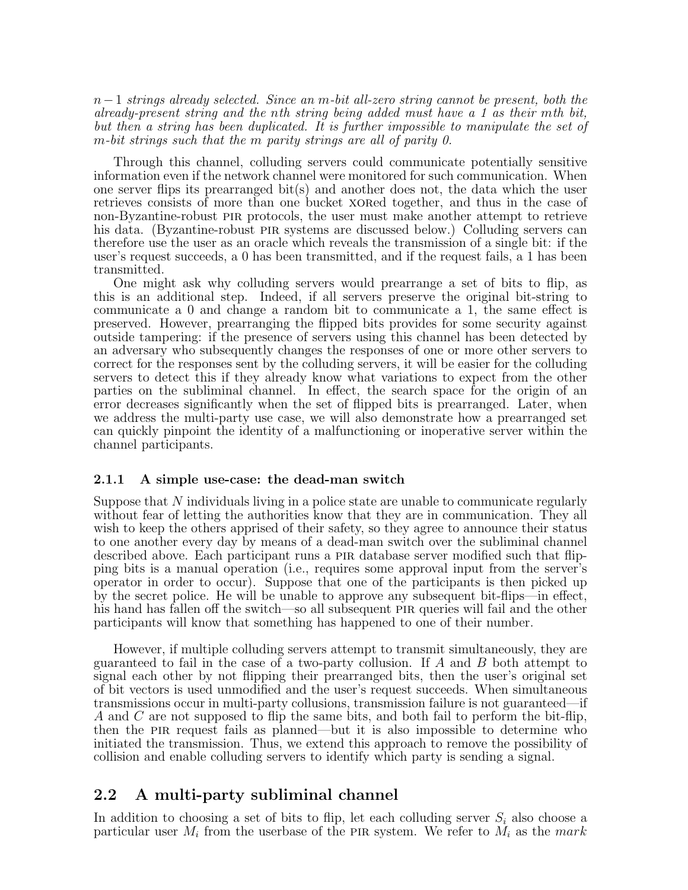$n-1$  strings already selected. Since an m-bit all-zero string cannot be present, both the already-present string and the nth string being added must have a 1 as their mth bit, but then a string has been duplicated. It is further impossible to manipulate the set of m-bit strings such that the m parity strings are all of parity 0.

Through this channel, colluding servers could communicate potentially sensitive information even if the network channel were monitored for such communication. When one server flips its prearranged bit(s) and another does not, the data which the user retrieves consists of more than one bucket xored together, and thus in the case of non-Byzantine-robust pir protocols, the user must make another attempt to retrieve his data. (Byzantine-robust pir systems are discussed below.) Colluding servers can therefore use the user as an oracle which reveals the transmission of a single bit: if the user's request succeeds, a 0 has been transmitted, and if the request fails, a 1 has been transmitted.

One might ask why colluding servers would prearrange a set of bits to flip, as this is an additional step. Indeed, if all servers preserve the original bit-string to communicate a 0 and change a random bit to communicate a 1, the same effect is preserved. However, prearranging the flipped bits provides for some security against outside tampering: if the presence of servers using this channel has been detected by an adversary who subsequently changes the responses of one or more other servers to correct for the responses sent by the colluding servers, it will be easier for the colluding servers to detect this if they already know what variations to expect from the other parties on the subliminal channel. In effect, the search space for the origin of an error decreases significantly when the set of flipped bits is prearranged. Later, when we address the multi-party use case, we will also demonstrate how a prearranged set can quickly pinpoint the identity of a malfunctioning or inoperative server within the channel participants.

#### 2.1.1 A simple use-case: the dead-man switch

Suppose that N individuals living in a police state are unable to communicate regularly without fear of letting the authorities know that they are in communication. They all wish to keep the others apprised of their safety, so they agree to announce their status to one another every day by means of a dead-man switch over the subliminal channel described above. Each participant runs a pir database server modified such that flipping bits is a manual operation (i.e., requires some approval input from the server's operator in order to occur). Suppose that one of the participants is then picked up by the secret police. He will be unable to approve any subsequent bit-flips—in effect, his hand has fallen off the switch—so all subsequent PIR queries will fail and the other participants will know that something has happened to one of their number.

However, if multiple colluding servers attempt to transmit simultaneously, they are guaranteed to fail in the case of a two-party collusion. If  $A$  and  $B$  both attempt to signal each other by not flipping their prearranged bits, then the user's original set of bit vectors is used unmodified and the user's request succeeds. When simultaneous transmissions occur in multi-party collusions, transmission failure is not guaranteed—if A and C are not supposed to flip the same bits, and both fail to perform the bit-flip, then the pir request fails as planned—but it is also impossible to determine who initiated the transmission. Thus, we extend this approach to remove the possibility of collision and enable colluding servers to identify which party is sending a signal.

### 2.2 A multi-party subliminal channel

In addition to choosing a set of bits to flip, let each colluding server  $S_i$  also choose a particular user  $M_i$  from the userbase of the PIR system. We refer to  $M_i$  as the mark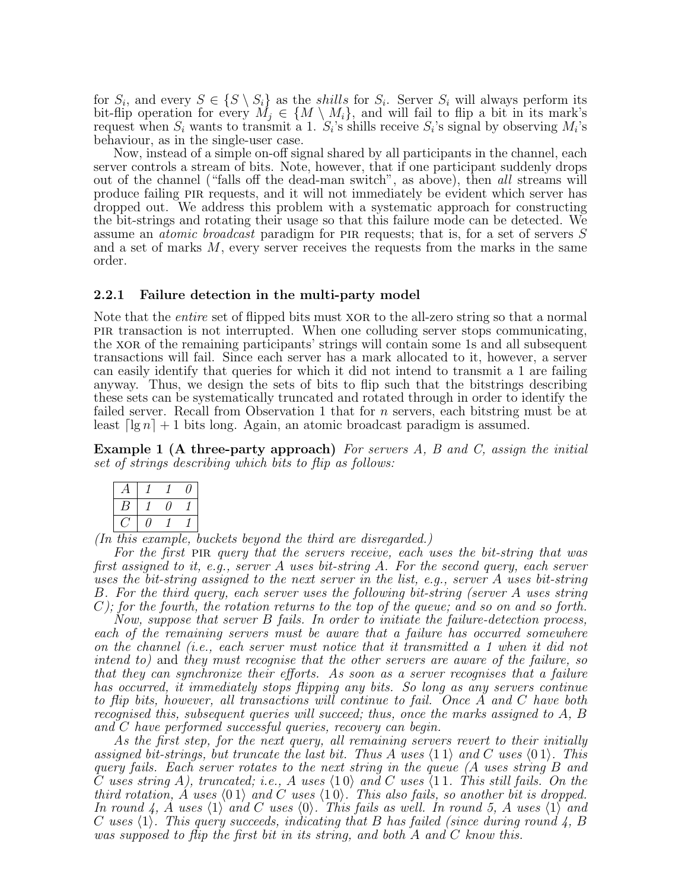for  $S_i$ , and every  $S \in \{S \setminus S_i\}$  as the *shills* for  $S_i$ . Server  $S_i$  will always perform its bit-flip operation for every  $M_j \in \{M \setminus M_i\}$ , and will fail to flip a bit in its mark's request when  $S_i$  wants to transmit a 1.  $S_i$ 's shills receive  $S_i$ 's signal by observing  $M_i$ 's behaviour, as in the single-user case.

Now, instead of a simple on-off signal shared by all participants in the channel, each server controls a stream of bits. Note, however, that if one participant suddenly drops out of the channel ("falls off the dead-man switch", as above), then all streams will produce failing PIR requests, and it will not immediately be evident which server has dropped out. We address this problem with a systematic approach for constructing the bit-strings and rotating their usage so that this failure mode can be detected. We assume an *atomic broadcast* paradigm for PIR requests; that is, for a set of servers S and a set of marks  $M$ , every server receives the requests from the marks in the same order.

#### 2.2.1 Failure detection in the multi-party model

Note that the *entire* set of flipped bits must XOR to the all-zero string so that a normal pir transaction is not interrupted. When one colluding server stops communicating, the xor of the remaining participants' strings will contain some 1s and all subsequent transactions will fail. Since each server has a mark allocated to it, however, a server can easily identify that queries for which it did not intend to transmit a 1 are failing anyway. Thus, we design the sets of bits to flip such that the bitstrings describing these sets can be systematically truncated and rotated through in order to identify the failed server. Recall from Observation 1 that for *n* servers, each bitstring must be at least  $\lceil \lg n \rceil + 1$  bits long. Again, an atomic broadcast paradigm is assumed.

**Example 1 (A three-party approach)** For servers  $A$ ,  $B$  and  $C$ , assign the initial set of strings describing which bits to flip as follows:

(In this example, buckets beyond the third are disregarded.)

For the first PIR query that the servers receive, each uses the bit-string that was first assigned to it, e.g., server A uses bit-string A. For the second query, each server uses the bit-string assigned to the next server in the list, e.g., server A uses bit-string B. For the third query, each server uses the following bit-string (server A uses string  $C$ ); for the fourth, the rotation returns to the top of the queue; and so on and so forth.

Now, suppose that server B fails. In order to initiate the failure-detection process, each of the remaining servers must be aware that a failure has occurred somewhere on the channel (i.e., each server must notice that it transmitted a 1 when it did not intend to) and they must recognise that the other servers are aware of the failure, so that they can synchronize their efforts. As soon as a server recognises that a failure has occurred, it immediately stops flipping any bits. So long as any servers continue to flip bits, however, all transactions will continue to fail. Once A and C have both recognised this, subsequent queries will succeed; thus, once the marks assigned to A, B and C have performed successful queries, recovery can begin.

As the first step, for the next query, all remaining servers revert to their initially assigned bit-strings, but truncate the last bit. Thus A uses  $\langle 11 \rangle$  and C uses  $\langle 01 \rangle$ . This query fails. Each server rotates to the next string in the queue (A uses string B and C uses string A), truncated; i.e., A uses  $\langle 10 \rangle$  and C uses  $\langle 11$ . This still fails. On the third rotation,  $\acute{A}$  uses  $\langle 01 \rangle$  and  $\acute{C}$  uses  $\langle 10 \rangle$ . This also fails, so another bit is dropped. In round 4, A uses  $\langle 1 \rangle$  and C uses  $\langle 0 \rangle$ . This fails as well. In round 5, A uses  $\langle 1 \rangle$  and C uses  $\langle 1 \rangle$ . This query succeeds, indicating that B has failed (since during round 4, B was supposed to flip the first bit in its string, and both A and C know this.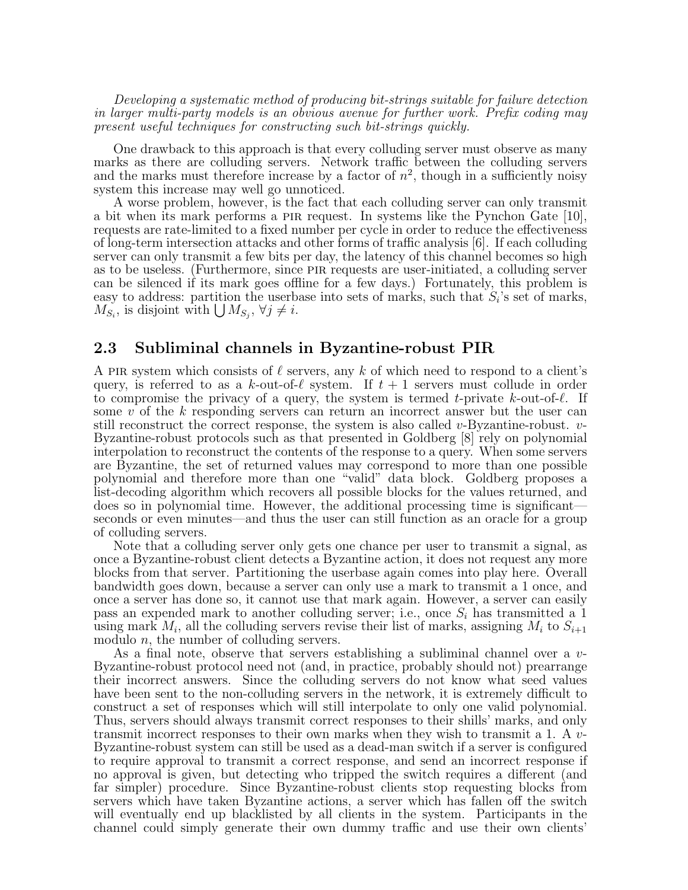Developing a systematic method of producing bit-strings suitable for failure detection in larger multi-party models is an obvious avenue for further work. Prefix coding may present useful techniques for constructing such bit-strings quickly.

One drawback to this approach is that every colluding server must observe as many marks as there are colluding servers. Network traffic between the colluding servers and the marks must therefore increase by a factor of  $n^2$ , though in a sufficiently noisy system this increase may well go unnoticed.

A worse problem, however, is the fact that each colluding server can only transmit a bit when its mark performs a pir request. In systems like the Pynchon Gate [10], requests are rate-limited to a fixed number per cycle in order to reduce the effectiveness of long-term intersection attacks and other forms of traffic analysis [6]. If each colluding server can only transmit a few bits per day, the latency of this channel becomes so high as to be useless. (Furthermore, since pir requests are user-initiated, a colluding server can be silenced if its mark goes offline for a few days.) Fortunately, this problem is easy to address: partition the userbase into sets of marks, such that  $S_i$ 's set of marks,  $M_{S_i}$ , is disjoint with  $\bigcup M_{S_j}$ ,  $\forall j \neq i$ .

### 2.3 Subliminal channels in Byzantine-robust PIR

A PIR system which consists of  $\ell$  servers, any k of which need to respond to a client's query, is referred to as a k-out-of- $\ell$  system. If  $t + 1$  servers must collude in order to compromise the privacy of a query, the system is termed t-private k-out-of- $\ell$ . If some v of the k responding servers can return an incorrect answer but the user can still reconstruct the correct response, the system is also called v-Byzantine-robust.  $v$ -Byzantine-robust protocols such as that presented in Goldberg [8] rely on polynomial interpolation to reconstruct the contents of the response to a query. When some servers are Byzantine, the set of returned values may correspond to more than one possible polynomial and therefore more than one "valid" data block. Goldberg proposes a list-decoding algorithm which recovers all possible blocks for the values returned, and does so in polynomial time. However, the additional processing time is significant seconds or even minutes—and thus the user can still function as an oracle for a group of colluding servers.

Note that a colluding server only gets one chance per user to transmit a signal, as once a Byzantine-robust client detects a Byzantine action, it does not request any more blocks from that server. Partitioning the userbase again comes into play here. Overall bandwidth goes down, because a server can only use a mark to transmit a 1 once, and once a server has done so, it cannot use that mark again. However, a server can easily pass an expended mark to another colluding server; i.e., once  $S_i$  has transmitted a 1 using mark  $M_i$ , all the colluding servers revise their list of marks, assigning  $M_i$  to  $S_{i+1}$ modulo *n*, the number of colluding servers.

As a final note, observe that servers establishing a subliminal channel over a v-Byzantine-robust protocol need not (and, in practice, probably should not) prearrange their incorrect answers. Since the colluding servers do not know what seed values have been sent to the non-colluding servers in the network, it is extremely difficult to construct a set of responses which will still interpolate to only one valid polynomial. Thus, servers should always transmit correct responses to their shills' marks, and only transmit incorrect responses to their own marks when they wish to transmit a 1. A v-Byzantine-robust system can still be used as a dead-man switch if a server is configured to require approval to transmit a correct response, and send an incorrect response if no approval is given, but detecting who tripped the switch requires a different (and far simpler) procedure. Since Byzantine-robust clients stop requesting blocks from servers which have taken Byzantine actions, a server which has fallen off the switch will eventually end up blacklisted by all clients in the system. Participants in the channel could simply generate their own dummy traffic and use their own clients'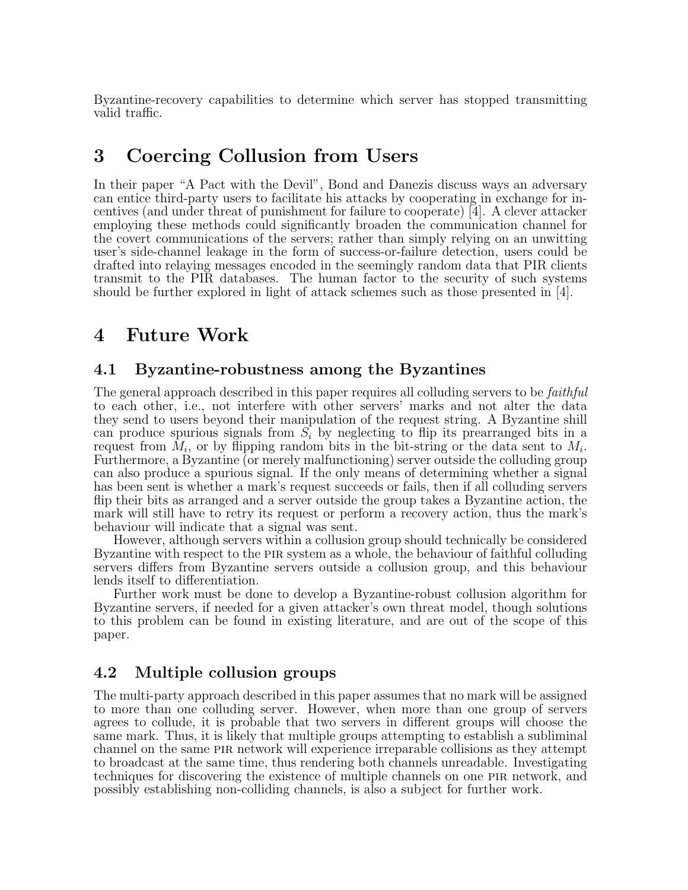Byzantine-recovery capabilities to determine which server has stopped transmitting valid traffic.

## 3 Coercing Collusion from Users

In their paper "A Pact with the Devil", Bond and Danezis discuss ways an adversary can entice third-party users to facilitate his attacks by cooperating in exchange for incentives (and under threat of punishment for failure to cooperate) [4]. A clever attacker employing these methods could significantly broaden the communication channel for the covert communications of the servers; rather than simply relying on an unwitting user's side-channel leakage in the form of success-or-failure detection, users could be drafted into relaying messages encoded in the seemingly random data that PIR clients transmit to the PIR databases. The human factor to the security of such systems should be further explored in light of attack schemes such as those presented in [4].

## 4 Future Work

### 4.1 Byzantine-robustness among the Byzantines

The general approach described in this paper requires all colluding servers to be *faithful* to each other, i.e., not interfere with other servers' marks and not alter the data they send to users beyond their manipulation of the request string. A Byzantine shill can produce spurious signals from  $S_i$  by neglecting to flip its prearranged bits in a request from  $M_i$ , or by flipping random bits in the bit-string or the data sent to  $M_i$ . Furthermore, a Byzantine (or merely malfunctioning) server outside the colluding group can also produce a spurious signal. If the only means of determining whether a signal has been sent is whether a mark's request succeeds or fails, then if all colluding servers flip their bits as arranged and a server outside the group takes a Byzantine action, the mark will still have to retry its request or perform a recovery action, thus the mark's behaviour will indicate that a signal was sent.

However, although servers within a collusion group should technically be considered Byzantine with respect to the pir system as a whole, the behaviour of faithful colluding servers differs from Byzantine servers outside a collusion group, and this behaviour lends itself to differentiation.

Further work must be done to develop a Byzantine-robust collusion algorithm for Byzantine servers, if needed for a given attacker's own threat model, though solutions to this problem can be found in existing literature, and are out of the scope of this paper.

## 4.2 Multiple collusion groups

The multi-party approach described in this paper assumes that no mark will be assigned to more than one colluding server. However, when more than one group of servers agrees to collude, it is probable that two servers in different groups will choose the same mark. Thus, it is likely that multiple groups attempting to establish a subliminal channel on the same pir network will experience irreparable collisions as they attempt to broadcast at the same time, thus rendering both channels unreadable. Investigating techniques for discovering the existence of multiple channels on one pir network, and possibly establishing non-colliding channels, is also a subject for further work.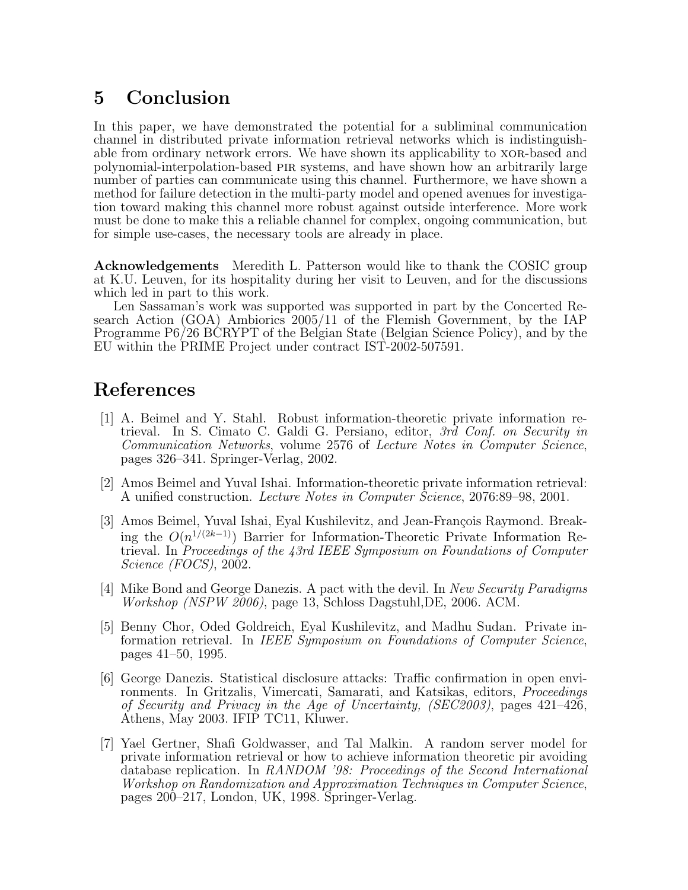# 5 Conclusion

In this paper, we have demonstrated the potential for a subliminal communication channel in distributed private information retrieval networks which is indistinguishable from ordinary network errors. We have shown its applicability to  $XOR$ -based and polynomial-interpolation-based pir systems, and have shown how an arbitrarily large number of parties can communicate using this channel. Furthermore, we have shown a method for failure detection in the multi-party model and opened avenues for investigation toward making this channel more robust against outside interference. More work must be done to make this a reliable channel for complex, ongoing communication, but for simple use-cases, the necessary tools are already in place.

Acknowledgements Meredith L. Patterson would like to thank the COSIC group at K.U. Leuven, for its hospitality during her visit to Leuven, and for the discussions which led in part to this work.

Len Sassaman's work was supported was supported in part by the Concerted Research Action (GOA) Ambiorics 2005/11 of the Flemish Government, by the IAP Programme P6/26 BCRYPT of the Belgian State (Belgian Science Policy), and by the EU within the PRIME Project under contract IST-2002-507591.

# References

- [1] A. Beimel and Y. Stahl. Robust information-theoretic private information retrieval. In S. Cimato C. Galdi G. Persiano, editor, 3rd Conf. on Security in Communication Networks, volume 2576 of Lecture Notes in Computer Science, pages 326–341. Springer-Verlag, 2002.
- [2] Amos Beimel and Yuval Ishai. Information-theoretic private information retrieval: A unified construction. Lecture Notes in Computer Science, 2076:89–98, 2001.
- [3] Amos Beimel, Yuval Ishai, Eyal Kushilevitz, and Jean-François Raymond. Breaking the  $O(n^{1/(2k-1)})$  Barrier for Information-Theoretic Private Information Retrieval. In Proceedings of the 43rd IEEE Symposium on Foundations of Computer Science (FOCS), 2002.
- [4] Mike Bond and George Danezis. A pact with the devil. In New Security Paradigms Workshop (NSPW 2006), page 13, Schloss Dagstuhl,DE, 2006. ACM.
- [5] Benny Chor, Oded Goldreich, Eyal Kushilevitz, and Madhu Sudan. Private information retrieval. In IEEE Symposium on Foundations of Computer Science, pages 41–50, 1995.
- [6] George Danezis. Statistical disclosure attacks: Traffic confirmation in open environments. In Gritzalis, Vimercati, Samarati, and Katsikas, editors, Proceedings of Security and Privacy in the Age of Uncertainty, (SEC2003), pages 421–426, Athens, May 2003. IFIP TC11, Kluwer.
- [7] Yael Gertner, Shafi Goldwasser, and Tal Malkin. A random server model for private information retrieval or how to achieve information theoretic pir avoiding database replication. In RANDOM '98: Proceedings of the Second International Workshop on Randomization and Approximation Techniques in Computer Science, pages 200–217, London, UK, 1998. Springer-Verlag.